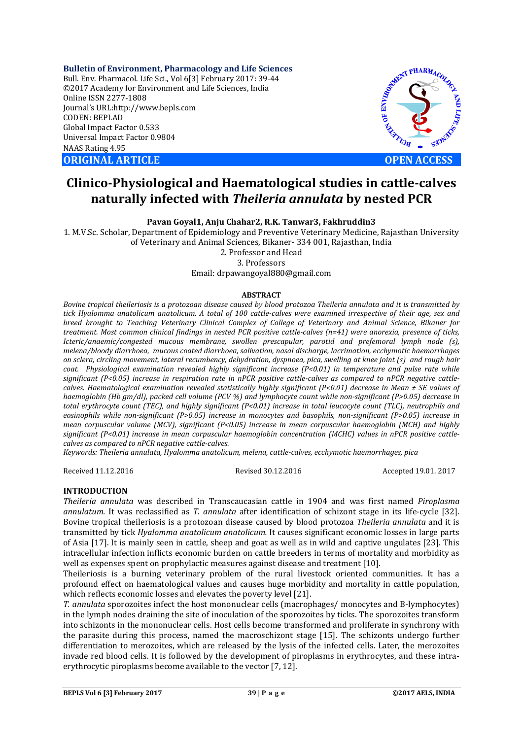**Bulletin of Environment, Pharmacology and Life Sciences** Bull. Env. Pharmacol. Life Sci., Vol 6[3] February 2017: 39-44 ©2017 Academy for Environment and Life Sciences, India Online ISSN 2277-1808 Journal's URL:http://www.bepls.com CODEN: BEPLAD Global Impact Factor 0.533 Universal Impact Factor 0.9804 NAAS Rating 4.95 **ORIGINAL ARTICLE OPEN ACCESS** 



# **Clinico-Physiological and Haematological studies in cattle-calves naturally infected with** *Theileria annulata* **by nested PCR**

**Pavan Goyal1, Anju Chahar2, R.K. Tanwar3, Fakhruddin3**

1. M.V.Sc. Scholar, Department of Epidemiology and Preventive Veterinary Medicine, Rajasthan University of Veterinary and Animal Sciences, Bikaner- 334 001, Rajasthan, India

2. Professor and Head

3. Professors

Email: drpawangoyal880@gmail.com

#### **ABSTRACT**

*Bovine tropical theileriosis is a protozoan disease caused by blood protozoa Theileria annulata and it is transmitted by tick Hyalomma anatolicum anatolicum. A total of 100 cattle-calves were examined irrespective of their age, sex and breed brought to Teaching Veterinary Clinical Complex of College of Veterinary and Animal Science, Bikaner for treatment. Most common clinical findings in nested PCR positive cattle-calves (n=41) were anorexia, presence of ticks, Icteric/anaemic/congested mucous membrane, swollen prescapular, parotid and prefemoral lymph node (s), melena/bloody diarrhoea, mucous coated diarrhoea, salivation, nasal discharge, lacrimation, ecchymotic haemorrhages on sclera, circling movement, lateral recumbency, dehydration, dyspnoea, pica, swelling at knee joint (s) and rough hair coat. Physiological examination revealed highly significant increase (P<0.01) in temperature and pulse rate while significant (P<0.05) increase in respiration rate in nPCR positive cattle-calves as compared to nPCR negative cattlecalves. Haematological examination revealed statistically highly significant (P<0.01) decrease in Mean ± SE values of haemoglobin (Hb gm/dl), packed cell volume (PCV %) and lymphocyte count while non-significant (P>0.05) decrease in total erythrocyte count (TEC), and highly significant (P<0.01) increase in total leucocyte count (TLC), neutrophils and eosinophils while non-significant (P>0.05) increase in monocytes and basophils, non-significant (P>0.05) increase in mean corpuscular volume (MCV), significant (P<0.05) increase in mean corpuscular haemoglobin (MCH) and highly significant (P<0.01) increase in mean corpuscular haemoglobin concentration (MCHC) values in nPCR positive cattlecalves as compared to nPCR negative cattle-calves.*

*Keywords: Theileria annulata, Hyalomma anatolicum, melena, cattle-calves, ecchymotic haemorrhages, pica*

Received 11.12.2016 Revised 30.12.2016 Accepted 19.01. 2017

### **INTRODUCTION**

*Theileria annulata* was described in Transcaucasian cattle in 1904 and was first named *Piroplasma annulatum.* It was reclassified as *T. annulata* after identification of schizont stage in its life-cycle [32]. Bovine tropical theileriosis is a protozoan disease caused by blood protozoa *Theileria annulata* and it is transmitted by tick *Hyalomma anatolicum anatolicum.* It causes significant economic losses in large parts of Asia [17]. It is mainly seen in cattle, sheep and goat as well as in wild and captive ungulates [23]. This intracellular infection inflicts economic burden on cattle breeders in terms of mortality and morbidity as well as expenses spent on prophylactic measures against disease and treatment [10].

Theileriosis is a burning veterinary problem of the rural livestock oriented communities. It has a profound effect on haematological values and causes huge morbidity and mortality in cattle population, which reflects economic losses and elevates the poverty level [21].

*T. annulata* sporozoites infect the host mononuclear cells (macrophages/ monocytes and B-lymphocytes) in the lymph nodes draining the site of inoculation of the sporozoites by ticks. The sporozoites transform into schizonts in the mononuclear cells. Host cells become transformed and proliferate in synchrony with the parasite during this process, named the macroschizont stage [15]. The schizonts undergo further differentiation to merozoites, which are released by the lysis of the infected cells. Later, the merozoites invade red blood cells. It is followed by the development of piroplasms in erythrocytes, and these intraerythrocytic piroplasms become available to the vector [7, 12].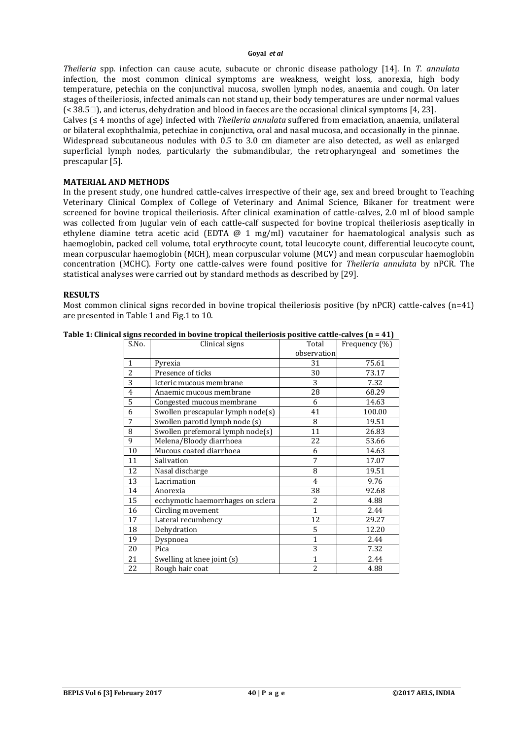*Theileria* spp. infection can cause acute, subacute or chronic disease pathology [14]. In *T. annulata* infection, the most common clinical symptoms are weakness, weight loss, anorexia, high body temperature, petechia on the conjunctival mucosa, swollen lymph nodes, anaemia and cough. On later stages of theileriosis, infected animals can not stand up, their body temperatures are under normal values  $($  < 38.5 $\Box$ ), and icterus, dehydration and blood in faeces are the occasional clinical symptoms [4, 23]. Calves (≤ 4 months of age) infected with *Theileria annulata* suffered from emaciation, anaemia, unilateral or bilateral exophthalmia, petechiae in conjunctiva, oral and nasal mucosa, and occasionally in the pinnae. Widespread subcutaneous nodules with 0.5 to 3.0 cm diameter are also detected, as well as enlarged superficial lymph nodes, particularly the submandibular, the retropharyngeal and sometimes the

### **MATERIAL AND METHODS**

prescapular [5].

In the present study, one hundred cattle-calves irrespective of their age, sex and breed brought to Teaching Veterinary Clinical Complex of College of Veterinary and Animal Science, Bikaner for treatment were screened for bovine tropical theileriosis. After clinical examination of cattle-calves, 2.0 ml of blood sample was collected from Jugular vein of each cattle-calf suspected for bovine tropical theileriosis aseptically in ethylene diamine tetra acetic acid (EDTA @ 1 mg/ml) vacutainer for haematological analysis such as haemoglobin, packed cell volume, total erythrocyte count, total leucocyte count, differential leucocyte count, mean corpuscular haemoglobin (MCH), mean corpuscular volume (MCV) and mean corpuscular haemoglobin concentration (MCHC). Forty one cattle-calves were found positive for *Theileria annulata* by nPCR. The statistical analyses were carried out by standard methods as described by [29].

#### **RESULTS**

Most common clinical signs recorded in bovine tropical theileriosis positive (by nPCR) cattle-calves (n=41) are presented in Table 1 and Fig.1 to 10.

| S.No.                   | Clinical signs                    | Total          | Frequency (%) |
|-------------------------|-----------------------------------|----------------|---------------|
|                         |                                   | observation    |               |
| 1                       | Pyrexia                           | 31             | 75.61         |
| 2                       | Presence of ticks                 | 30             | 73.17         |
| 3                       | Icteric mucous membrane           | 3              | 7.32          |
| $\overline{\mathbf{4}}$ | Anaemic mucous membrane           | 28             | 68.29         |
| 5                       | Congested mucous membrane         | 6              | 14.63         |
| 6                       | Swollen prescapular lymph node(s) | 41             | 100.00        |
| 7                       | Swollen parotid lymph node (s)    | 8              | 19.51         |
| 8                       | Swollen prefemoral lymph node(s)  | 11             | 26.83         |
| 9                       | Melena/Bloody diarrhoea           | 22             | 53.66         |
| 10                      | Mucous coated diarrhoea           | 6              | 14.63         |
| 11                      | Salivation                        | 7              | 17.07         |
| 12                      | Nasal discharge                   | 8              | 19.51         |
| 13                      | Lacrimation                       | $\overline{4}$ | 9.76          |
| 14                      | Anorexia                          | 38             | 92.68         |
| 15                      | ecchymotic haemorrhages on sclera | 2              | 4.88          |
| 16                      | Circling movement                 | $\mathbf{1}$   | 2.44          |
| 17                      | Lateral recumbency                | 12             | 29.27         |
| 18                      | Dehydration                       | 5              | 12.20         |
| 19                      | Dyspnoea                          | $\mathbf{1}$   | 2.44          |
| 20                      | Pica                              | 3              | 7.32          |
| 21                      | Swelling at knee joint (s)        | $\overline{1}$ | 2.44          |
| 22                      | Rough hair coat                   | $\overline{c}$ | 4.88          |

**Table 1: Clinical signs recorded in bovine tropical theileriosis positive cattle-calves (n = 41)**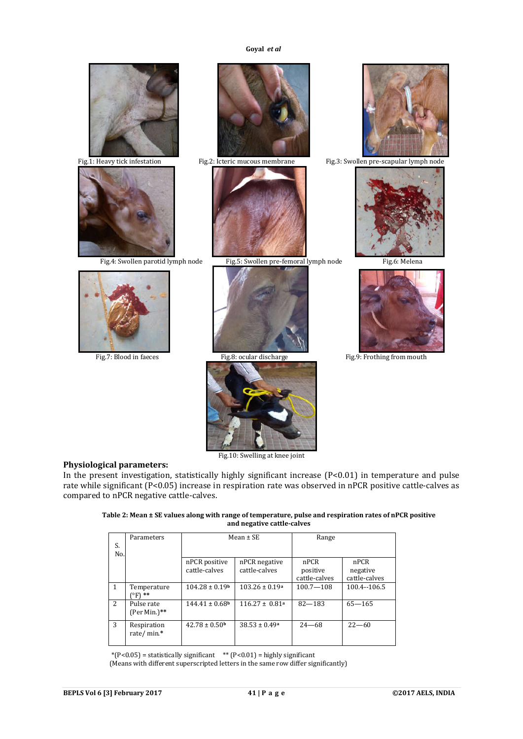









Fig.4: Swollen parotid lymph node Fig.5: Swollen pre-femoral lymph node Fig.6: Melena







Fig.1: Heavy tick infestation Fig.2: Icteric mucous membrane Fig.3: Swollen pre-scapular lymph node





Fig.10: Swelling at knee joint

#### **Physiological parameters:**

In the present investigation, statistically highly significant increase (P<0.01) in temperature and pulse rate while significant (P<0.05) increase in respiration rate was observed in nPCR positive cattle-calves as compared to nPCR negative cattle-calves.

| Table 2: Mean ± SE values along with range of temperature, pulse and respiration rates of nPCR positive |
|---------------------------------------------------------------------------------------------------------|
| and negative cattle-calves                                                                              |

| S.<br>No.      | Parameters                         | Mean $\pm$ SE                  |                                | Range                             |                                   |
|----------------|------------------------------------|--------------------------------|--------------------------------|-----------------------------------|-----------------------------------|
|                |                                    | nPCR positive<br>cattle-calves | nPCR negative<br>cattle-calves | nPCR<br>positive<br>cattle-calves | nPCR<br>negative<br>cattle-calves |
| $\overline{1}$ | Temperature<br><sup>ro</sup> F) ** | $104.28 \pm 0.19$ <sup>b</sup> | $103.26 \pm 0.19$ <sup>a</sup> | $100.7 - 108$                     | 100.4--106.5                      |
| 2              | Pulse rate<br>(Per Min.)**         | $144.41 \pm 0.68$              | $116.27 \pm 0.81a$             | $82 - 183$                        | $65 - 165$                        |
| 3              | Respiration<br>rate/min.*          | $42.78 \pm 0.50$ <sup>b</sup>  | $38.53 \pm 0.49^a$             | $24 - 68$                         | $22 - 60$                         |

 $*(P<0.05)$  = statistically significant  $*$  (P $<0.01$ ) = highly significant

(Means with different superscripted letters in the same row differ significantly)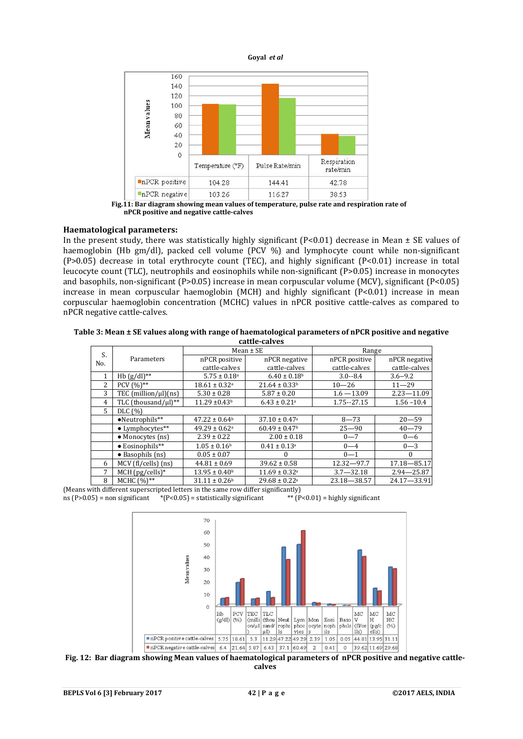

 **nPCR positive and negative cattle-calves**

#### **Haematological parameters:**

In the present study, there was statistically highly significant ( $P<0.01$ ) decrease in Mean  $\pm$  SE values of haemoglobin (Hb gm/dl), packed cell volume (PCV %) and lymphocyte count while non-significant  $(P>0.05)$  decrease in total erythrocyte count (TEC), and highly significant  $(P<0.01)$  increase in total leucocyte count (TLC), neutrophils and eosinophils while non-significant (P>0.05) increase in monocytes and basophils, non-significant (P>0.05) increase in mean corpuscular volume (MCV), significant (P<0.05) increase in mean corpuscular haemoglobin (MCH) and highly significant (P<0.01) increase in mean corpuscular haemoglobin concentration (MCHC) values in nPCR positive cattle-calves as compared to nPCR negative cattle-calves.

**Table 3: Mean ± SE values along with range of haematological parameters of nPCR positive and negative cattle-calves**

| cucuc curvey   |                          |                               |                               |                 |                |  |  |  |
|----------------|--------------------------|-------------------------------|-------------------------------|-----------------|----------------|--|--|--|
|                |                          | $Mean \pm SE$                 |                               | Range           |                |  |  |  |
| S.<br>No.      | Parameters               | nPCR positive                 | nPCR negative                 | nPCR positive   | nPCR negative  |  |  |  |
|                |                          | cattle-calves                 | cattle-calves                 | cattle-calves   | cattle-calves  |  |  |  |
| $\mathbf{1}$   | Hb $(g/dl)$ **           | $5.75 \pm 0.18$ <sup>a</sup>  | $6.40 \pm 0.18$ <sup>b</sup>  | $3.0 - 8.4$     | $3.6 - 9.2$    |  |  |  |
| $\overline{c}$ | PCV $(96)$ **            | $18.61 \pm 0.32$ <sup>a</sup> | $21.64 \pm 0.33$ <sup>b</sup> | $10 - 26$       | $11 - 29$      |  |  |  |
| 3              | TEC $(million/µl)(ns)$   | $5.30 \pm 0.28$               | $5.87 \pm 0.20$               | $1.6 - 13.09$   | $2.23 - 11.09$ |  |  |  |
| 4              | TLC (thousand/ul)**      | $11.29 \pm 0.43$ <sup>b</sup> | $6.43 \pm 0.21$ <sup>a</sup>  | 1.75 -- 27.15   | $1.56 - 10.4$  |  |  |  |
| 5              | DLC (%)                  |                               |                               |                 |                |  |  |  |
|                | •Neutrophils**           | $47.22 \pm 0.64$ <sup>b</sup> | $37.10 \pm 0.47$ <sup>a</sup> | $8 - 73$        | $20 - 59$      |  |  |  |
|                | $\bullet$ Lymphocytes**  | $49.29 \pm 0.62$ <sup>a</sup> | $60.49 \pm 0.47$ <sup>b</sup> | $25 - 90$       | $40 - 79$      |  |  |  |
|                | • Monocytes (ns)         | $2.39 \pm 0.22$               | $2.00 \pm 0.18$               | $0 - 7$         | $0 - 6$        |  |  |  |
|                | $\bullet$ Eosinophils**  | $1.05 \pm 0.16$               | $0.41 \pm 0.13$ <sup>a</sup>  | $0 - 4$         | $0 - 3$        |  |  |  |
|                | $\bullet$ Basophils (ns) | $0.05 \pm 0.07$               | $\Omega$                      | $0 - 1$         | $\Omega$       |  |  |  |
| 6              | $MCV$ (fl/cells) (ns)    | $44.81 \pm 0.69$              | $39.62 \pm 0.58$              | $12.32 - 97.7$  | 17.18-85.17    |  |  |  |
| 7              | $MCH$ (pg/cells)*        | $13.95 \pm 0.40$ <sup>b</sup> | $11.69 \pm 0.32$ <sup>a</sup> | $3.7 - 32.18$   | $2.94 - 25.87$ |  |  |  |
| 8              | $MCHC (%)**$             | $31.11 \pm 0.26$ <sup>b</sup> | $29.68 \pm 0.22$ <sup>a</sup> | $23.18 - 38.57$ | 24.17-33.91    |  |  |  |

(Means with different superscripted letters in the same row differ significantly)<br>ns (P>0.05) = non significant \*(P<0.05) = statistically significant \*\* (P<0.01) = highly significant ns (P>0.05) = non significant  $*$  (P<0.05) = statistically significant





**Fig. 12: Bar diagram showing Mean values of haematological parameters of nPCR positive and negative cattlecalves**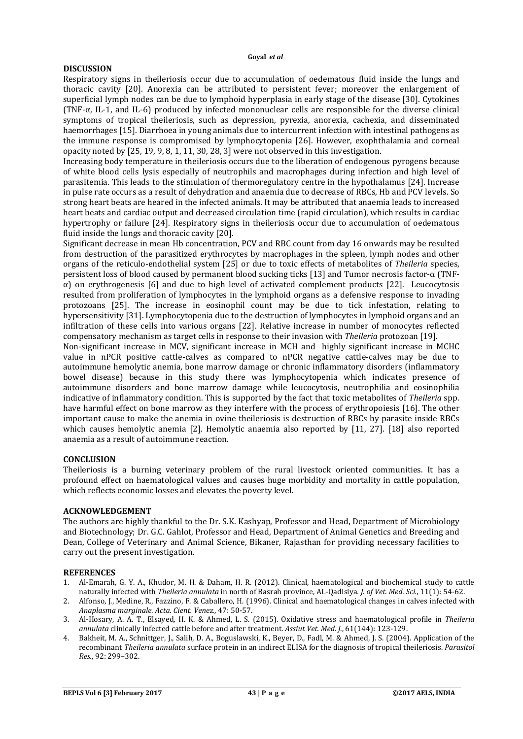### **DISCUSSION**

Respiratory signs in theileriosis occur due to accumulation of oedematous fluid inside the lungs and thoracic cavity [20]. Anorexia can be attributed to persistent fever; moreover the enlargement of superficial lymph nodes can be due to lymphoid hyperplasia in early stage of the disease [30]. Cytokines (TNF-α, IL-1, and IL-6) produced by infected mononuclear cells are responsible for the diverse clinical symptoms of tropical theileriosis, such as depression, pyrexia, anorexia, cachexia, and disseminated haemorrhages [15]. Diarrhoea in young animals due to intercurrent infection with intestinal pathogens as the immune response is compromised by lymphocytopenia [26]. However, exophthalamia and corneal opacity noted by [25, 19, 9, 8, 1, 11, 30, 28, 3] were not observed in this investigation.

Increasing body temperature in theileriosis occurs due to the liberation of endogenous pyrogens because of white blood cells lysis especially of neutrophils and macrophages during infection and high level of parasitemia. This leads to the stimulation of thermoregulatory centre in the hypothalamus [24]. Increase in pulse rate occurs as a result of dehydration and anaemia due to decrease of RBCs, Hb and PCV levels. So strong heart beats are heared in the infected animals. It may be attributed that anaemia leads to increased heart beats and cardiac output and decreased circulation time (rapid circulation), which results in cardiac hypertrophy or failure [24]. Respiratory signs in theileriosis occur due to accumulation of oedematous fluid inside the lungs and thoracic cavity [20].

Significant decrease in mean Hb concentration, PCV and RBC count from day 16 onwards may be resulted from destruction of the parasitized erythrocytes by macrophages in the spleen, lymph nodes and other organs of the reticulo-endothelial system [25] or due to toxic effects of metabolites of *Theileria* species, persistent loss of blood caused by permanent blood sucking ticks [13] and Tumor necrosis factor-α (TNF- $\alpha$ ) on erythrogenesis [6] and due to high level of activated complement products [22]. Leucocytosis resulted from proliferation of lymphocytes in the lymphoid organs as a defensive response to invading protozoans [25]. The increase in eosinophil count may be due to tick infestation, relating to hypersensitivity [31]. Lymphocytopenia due to the destruction of lymphocytes in lymphoid organs and an infiltration of these cells into various organs [22]. Relative increase in number of monocytes reflected compensatory mechanism as target cells in response to their invasion with *Theileria* protozoan [19].

Non-significant increase in MCV, significant increase in MCH and highly significant increase in MCHC value in nPCR positive cattle-calves as compared to nPCR negative cattle-calves may be due to autoimmune hemolytic anemia, bone marrow damage or chronic inflammatory disorders (inflammatory bowel disease) because in this study there was lymphocytopenia which indicates presence of autoimmune disorders and bone marrow damage while leucocytosis, neutrophilia and eosinophilia indicative of inflammatory condition. This is supported by the fact that toxic metabolites of *Theileria* spp. have harmful effect on bone marrow as they interfere with the process of erythropoiesis [16]. The other important cause to make the anemia in ovine theileriosis is destruction of RBCs by parasite inside RBCs which causes hemolytic anemia [2]. Hemolytic anaemia also reported by [11, 27]. [18] also reported anaemia as a result of autoimmune reaction.

# **CONCLUSION**

Theileriosis is a burning veterinary problem of the rural livestock oriented communities. It has a profound effect on haematological values and causes huge morbidity and mortality in cattle population, which reflects economic losses and elevates the poverty level.

## **ACKNOWLEDGEMENT**

The authors are highly thankful to the Dr. S.K. Kashyap, Professor and Head, Department of Microbiology and Biotechnology; Dr. G.C. Gahlot, Professor and Head, Department of Animal Genetics and Breeding and Dean, College of Veterinary and Animal Science, Bikaner, Rajasthan for providing necessary facilities to carry out the present investigation.

### **REFERENCES**

- 1. Al-Emarah, G. Y. A., Khudor, M. H. & Daham, H. R. (2012). Clinical, haematological and biochemical study to cattle naturally infected with *Theileria annulata* in north of Basrah province, AL-Qadisiya*. J. of Vet. Med. Sci.*, 11(1): 54-62.
- 2. Alfonso, J., Medine, R., Fazzino, F. & Caballero, H. (1996). Clinical and haematological changes in calves infected with *Anaplasma marginale*. *Acta. Cient. Venez.*, 47: 50-57.
- 3. Al-Hosary, A. A. T., Elsayed, H. K. & Ahmed, L. S. (2015). Oxidative stress and haematological profile in *Theileria annulata* clinically infected cattle before and after treatment. *Assiut Vet. Med. J.*, 61(144): 123-129.
- 4. Bakheit, M. A., Schnittger, J., Salih, D. A., Boguslawski, K., Beyer, D., Fadl, M. & Ahmed, J. S. (2004). Application of the recombinant *Theileria annulata* surface protein in an indirect ELISA for the diagnosis of tropical theileriosis. *Parasitol Res.*, 92: 299–302.